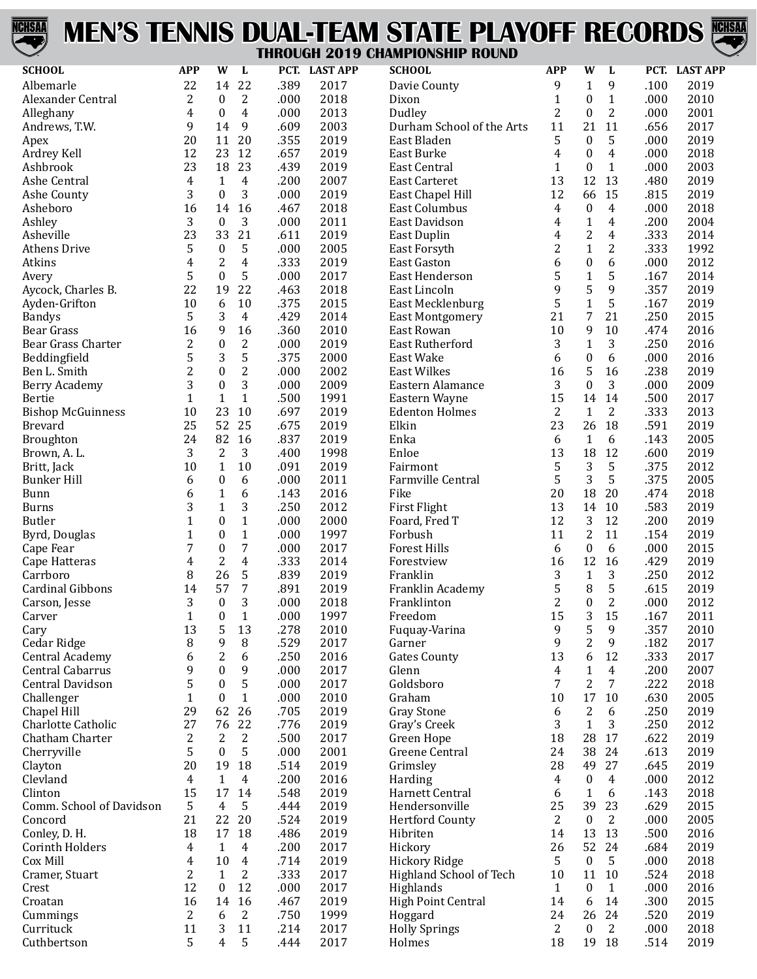

## **MEN'S TENNIS DUAL-TEAM STATE PLAYOFF RECORDS THROUGH 2019 CHAMPIONSHIP ROUND**



| <b>SCHOOL</b>                       | <b>APP</b>     | W                     | L                        | PCT.         | <b>LAST APP</b> | <b>SCHOOL</b>                        | <b>APP</b>          | W                 | L                    |              | PCT. LAST APP |
|-------------------------------------|----------------|-----------------------|--------------------------|--------------|-----------------|--------------------------------------|---------------------|-------------------|----------------------|--------------|---------------|
| Albemarle                           | 22             | 14                    | 22                       | .389         | 2017            | Davie County                         | 9                   | $\mathbf{1}$      | 9                    | .100         | 2019          |
| Alexander Central                   | 2              | $\boldsymbol{0}$      | 2                        | .000         | 2018            | Dixon                                | 1                   | 0                 | $\mathbf{1}$         | .000         | 2010          |
| Alleghany                           | 4              | $\boldsymbol{0}$      | 4                        | .000         | 2013            | Dudley                               | 2                   | $\boldsymbol{0}$  | $\overline{c}$       | .000         | 2001          |
| Andrews, T.W.                       | 9              | 14                    | 9                        | .609         | 2003            | Durham School of the Arts            | 11                  | 21                | 11                   | .656         | 2017          |
| Apex                                | 20             | 11                    | 20                       | .355         | 2019            | East Bladen                          | 5                   | 0                 | 5                    | .000         | 2019          |
| Ardrey Kell                         | 12             | 23                    | 12                       | .657         | 2019            | East Burke                           | 4                   | $\boldsymbol{0}$  | $\overline{4}$       | .000         | 2018          |
| Ashbrook                            | 23             | 18                    | 23                       | .439         | 2019            | East Central                         | 1                   | $\boldsymbol{0}$  | $\mathbf{1}$         | .000         | 2003          |
| Ashe Central                        | 4              | $\mathbf{1}$          | $\overline{4}$           | .200         | 2007            | <b>East Carteret</b>                 | 13                  | 12                | 13                   | .480         | 2019          |
| Ashe County                         | 3              | $\boldsymbol{0}$      | 3                        | .000         | 2019            | East Chapel Hill                     | 12                  | 66                | 15                   | .815         | 2019          |
| Asheboro                            | 16             | 14                    | 16                       | .467         | 2018            | <b>East Columbus</b>                 | $\overline{4}$      | $\boldsymbol{0}$  | 4                    | .000         | 2018          |
| Ashley                              | 3              | $\boldsymbol{0}$      | 3                        | .000         | 2011            | East Davidson                        | 4                   | $\mathbf{1}$      | 4                    | .200         | 2004          |
| Asheville                           | 23             | 33                    | 21                       | .611         | 2019            | East Duplin                          | 4                   | $\overline{c}$    | $\overline{4}$       | .333         | 2014          |
| <b>Athens Drive</b>                 | 5              | $\boldsymbol{0}$      | 5                        | .000         | 2005            | East Forsyth                         | $\overline{c}$      | $\mathbf{1}$      | $\overline{c}$       | .333         | 1992          |
| Atkins                              | 4              | $\overline{c}$        | 4                        | .333         | 2019            | East Gaston                          | 6                   | $\boldsymbol{0}$  | 6                    | .000         | 2012          |
| Avery                               | 5              | $\boldsymbol{0}$      | 5                        | .000         | 2017            | East Henderson                       | 5                   | $\mathbf{1}$      | 5                    | .167         | 2014          |
| Aycock, Charles B.                  | 22             | 19                    | 22                       | .463         | 2018            | East Lincoln                         | 9                   | 5                 | 9                    | .357         | 2019          |
| Ayden-Grifton                       | 10             | 6<br>3                | $10\,$<br>$\overline{4}$ | .375<br>.429 | 2015            | East Mecklenburg                     | 5<br>21             | $\mathbf{1}$<br>7 | 5<br>21              | .167<br>.250 | 2019<br>2015  |
| <b>Bandys</b><br>Bear Grass         | 5<br>16        | 9                     | 16                       | .360         | 2014<br>2010    | <b>East Montgomery</b><br>East Rowan | 10                  | 9                 | 10                   | .474         | 2016          |
| Bear Grass Charter                  | 2              | $\boldsymbol{0}$      | 2                        | .000         | 2019            | <b>East Rutherford</b>               | 3                   | $\mathbf{1}$      | 3                    | .250         | 2016          |
| Beddingfield                        | 5              | 3                     | 5                        | .375         | 2000            | East Wake                            | 6                   | $\boldsymbol{0}$  | 6                    | .000         | 2016          |
| Ben L. Smith                        | $\overline{c}$ | $\boldsymbol{0}$      | $\overline{c}$           | .000         | 2002            | <b>East Wilkes</b>                   | 16                  | 5                 | 16                   | .238         | 2019          |
| Berry Academy                       | 3              | $\boldsymbol{0}$      | 3                        | .000         | 2009            | Eastern Alamance                     | 3                   | $\boldsymbol{0}$  | 3                    | .000         | 2009          |
| Bertie                              | $\mathbf{1}$   | $\mathbf{1}$          | $\mathbf{1}$             | .500         | 1991            | Eastern Wayne                        | 15                  | 14                | 14                   | .500         | 2017          |
| <b>Bishop McGuinness</b>            | 10             | 23                    | 10                       | .697         | 2019            | <b>Edenton Holmes</b>                | 2                   | $\mathbf{1}$      | $\overline{2}$       | .333         | 2013          |
| <b>Brevard</b>                      | 25             | 52                    | 25                       | .675         | 2019            | Elkin                                | 23                  | 26                | 18                   | .591         | 2019          |
| <b>Broughton</b>                    | 24             | 82                    | 16                       | .837         | 2019            | Enka                                 | 6                   | $\mathbf{1}$      | 6                    | .143         | 2005          |
| Brown, A. L.                        | 3              | 2                     | 3                        | .400         | 1998            | Enloe                                | 13                  | 18                | 12                   | .600         | 2019          |
| Britt, Jack                         | 10             | $\mathbf{1}$          | 10                       | .091         | 2019            | Fairmont                             | 5                   | 3                 | 5                    | .375         | 2012          |
| <b>Bunker Hill</b>                  | 6              | $\boldsymbol{0}$      | 6                        | .000         | 2011            | Farmville Central                    | 5                   | 3                 | 5                    | .375         | 2005          |
| Bunn                                | 6              | $\mathbf{1}$          | 6                        | .143         | 2016            | Fike                                 | 20                  | 18                | 20                   | .474         | 2018          |
| <b>Burns</b>                        | 3              | $\mathbf{1}$          | 3                        | .250         | 2012            | First Flight                         | 13                  | 14                | 10                   | .583         | 2019          |
| <b>Butler</b>                       | $\mathbf{1}$   | $\boldsymbol{0}$      | $\mathbf{1}$             | .000         | 2000            | Foard, Fred T                        | 12                  | 3                 | 12                   | .200         | 2019          |
| Byrd, Douglas                       | $\mathbf{1}$   | $\boldsymbol{0}$      | $\mathbf{1}$             | .000         | 1997            | Forbush                              | 11                  | $\overline{c}$    | 11                   | .154         | 2019          |
| Cape Fear                           | 7              | $\boldsymbol{0}$      | 7                        | .000         | 2017            | <b>Forest Hills</b>                  | 6                   | $\boldsymbol{0}$  | 6                    | .000         | 2015          |
| Cape Hatteras                       | 4              | $\overline{c}$        | $\overline{4}$           | .333         | 2014            | Forestview                           | 16                  | 12                | 16                   | .429         | 2019          |
| Carrboro                            | 8              | 26                    | 5                        | .839         | 2019            | Franklin                             | 3                   | $\mathbf{1}$      | 3                    | .250         | 2012          |
| <b>Cardinal Gibbons</b>             | 14             | 57                    | 7                        | .891         | 2019            | Franklin Academy                     | 5                   | 8                 | 5                    | .615         | 2019          |
| Carson, Jesse                       | 3              | $\boldsymbol{0}$      | 3                        | .000         | 2018            | Franklinton                          | $\overline{c}$      | $\boldsymbol{0}$  | $\overline{2}$       | .000         | 2012          |
| Carver                              | $\mathbf 1$    | $\boldsymbol{0}$      | $\mathbf{1}$             | .000         | 1997            | Freedom                              | 15                  | 3                 | 15                   | .167         | 2011          |
| Cary                                | 13             | 5                     | 13                       | .278         | 2010            | Fuquay-Varina                        | 9                   | 5                 | 9                    | .357         | 2010          |
| Cedar Ridge                         | 8              | 9                     | 8                        | .529         | 2017            | Garner                               | 9                   | $\overline{c}$    | 9                    | .182         | 2017          |
| Central Academy<br>Central Cabarrus | 6<br>9         | 2<br>$\boldsymbol{0}$ | 6<br>9                   | .250<br>.000 | 2016<br>2017    | <b>Gates County</b>                  | 13                  | 6<br>$\mathbf{1}$ | 12<br>$\overline{4}$ | .333         | 2017<br>2007  |
| Central Davidson                    | 5              | $\boldsymbol{0}$      | 5                        | .000         | 2017            | Glenn<br>Goldsboro                   | $\overline{4}$<br>7 | $\overline{c}$    | 7                    | .200<br>.222 | 2018          |
| Challenger                          | $\mathbf{1}$   | $\boldsymbol{0}$      | $\mathbf{1}$             | .000         | 2010            | Graham                               | 10                  | 17                | 10                   | .630         | 2005          |
| Chapel Hill                         | 29             | 62                    | 26                       | .705         | 2019            | <b>Gray Stone</b>                    | 6                   | $\overline{c}$    | 6                    | .250         | 2019          |
| Charlotte Catholic                  | 27             | 76                    | 22                       | .776         | 2019            | Gray's Creek                         | 3                   | $\mathbf{1}$      | 3                    | .250         | 2012          |
| Chatham Charter                     | 2              | $\overline{2}$        | $\overline{2}$           | .500         | 2017            | Green Hope                           | 18                  | 28                | 17                   | .622         | 2019          |
| Cherryville                         | 5              | $\boldsymbol{0}$      | 5                        | .000         | 2001            | Greene Central                       | 24                  | 38                | 24                   | .613         | 2019          |
| Clayton                             | 20             | 19                    | 18                       | .514         | 2019            | Grimsley                             | 28                  | 49                | 27                   | .645         | 2019          |
| Clevland                            | 4              | $\mathbf{1}$          | $\overline{4}$           | .200         | 2016            | Harding                              | 4                   | $\boldsymbol{0}$  | 4                    | .000         | 2012          |
| Clinton                             | 15             | 17                    | 14                       | .548         | 2019            | Harnett Central                      | 6                   | $\mathbf{1}$      | 6                    | .143         | 2018          |
| Comm. School of Davidson            | 5              | $\overline{4}$        | 5                        | .444         | 2019            | Hendersonville                       | 25                  | 39                | 23                   | .629         | 2015          |
| Concord                             | 21             | 22                    | 20                       | .524         | 2019            | <b>Hertford County</b>               | 2                   | $\boldsymbol{0}$  | 2                    | .000         | 2005          |
| Conley, D. H.                       | 18             | 17                    | 18                       | .486         | 2019            | Hibriten                             | 14                  | 13                | 13                   | .500         | 2016          |
| Corinth Holders                     | 4              | $\mathbf{1}$          | $\overline{4}$           | .200         | 2017            | Hickory                              | 26                  | 52                | 24                   | .684         | 2019          |
| Cox Mill                            | 4              | 10                    | $\overline{4}$           | .714         | 2019            | <b>Hickory Ridge</b>                 | 5                   | $\boldsymbol{0}$  | 5                    | .000         | 2018          |
| Cramer, Stuart                      | $\overline{c}$ | $\mathbf{1}$          | 2                        | .333         | 2017            | Highland School of Tech              | $10\,$              | 11                | 10                   | .524         | 2018          |
| Crest                               | 12             | $\boldsymbol{0}$      | 12                       | .000         | 2017            | Highlands                            | $\mathbf{1}$        | $\boldsymbol{0}$  | $\mathbf{1}$         | .000         | 2016          |
| Croatan                             | 16             | 14                    | 16                       | .467         | 2019            | <b>High Point Central</b>            | 14                  | 6                 | 14                   | .300         | 2015          |
| Cummings                            | 2              | 6                     | $\overline{2}$           | .750         | 1999            | Hoggard                              | 24                  | 26                | 24                   | .520         | 2019          |
| Currituck                           | 11             | 3                     | 11                       | .214         | 2017            | <b>Holly Springs</b>                 | 2                   | 0                 | 2                    | .000         | 2018          |
| Cuthbertson                         | 5              | 4                     | 5                        | .444         | 2017            | Holmes                               | 18                  | 19                | 18                   | .514         | 2019          |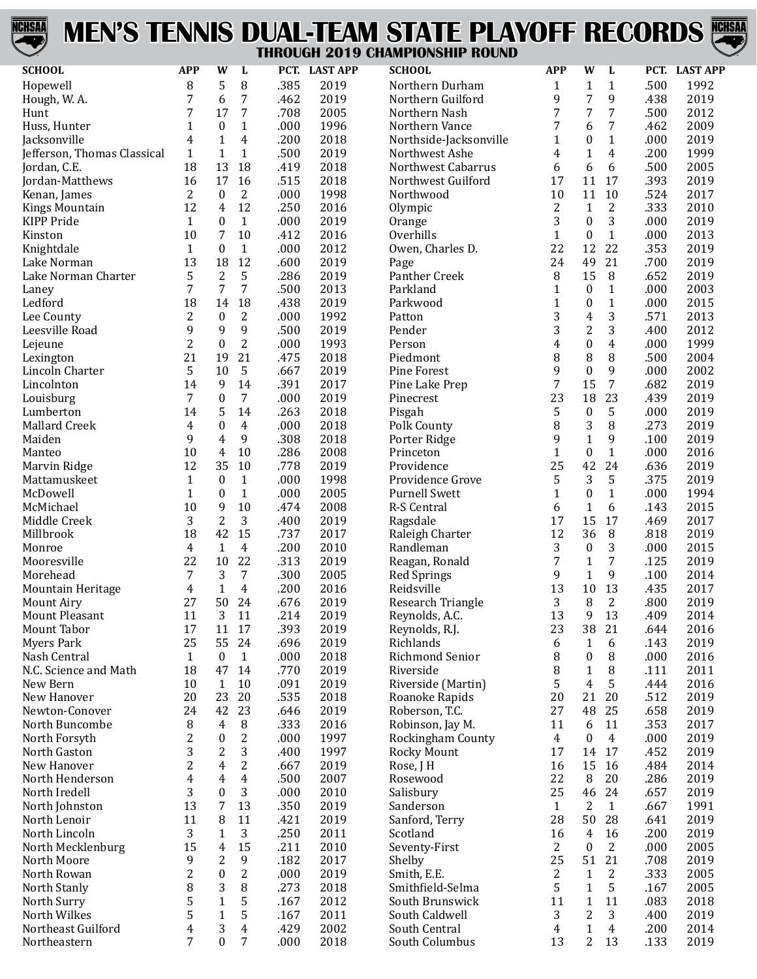

## **MEN'S TENNIS DUAL-TEAM STATE PLAYOFF RECORDS THROUGH 2019 CHAMPIONSHIP ROUND**



| <b>SCHOOL</b>                     | <b>APP</b>     | W                  | L                |              | PCT. LAST APP | <b>SCHOOL</b>                        | <b>APP</b>     | W                              | L                 |              | PCT. LAST APP |
|-----------------------------------|----------------|--------------------|------------------|--------------|---------------|--------------------------------------|----------------|--------------------------------|-------------------|--------------|---------------|
|                                   | 8              | 5                  | 8                | .385         | 2019          |                                      |                | 1                              |                   | .500         | 1992          |
| Hopewell                          | 7              |                    | 7                |              | 2019          | Northern Durham<br>Northern Guilford | 1<br>9         | 7                              | $\mathbf{1}$<br>9 | .438         | 2019          |
| Hough, W. A.<br>Hunt              | 7              | 6<br>17            | 7                | .462<br>.708 | 2005          | Northern Nash                        | 7              | 7                              | 7                 | .500         | 2012          |
| Huss, Hunter                      | 1              | $\boldsymbol{0}$   | $\mathbf{1}$     | .000         | 1996          | Northern Vance                       | 7              | 6                              | 7                 | .462         | 2009          |
| Jacksonville                      | 4              | $\mathbf{1}$       | 4                | .200         | 2018          | Northside-Jacksonville               | $\mathbf{1}$   | $\boldsymbol{0}$               | $\mathbf{1}$      | .000         | 2019          |
| Jefferson, Thomas Classical       | $\mathbf{1}$   | $\mathbf{1}$       | $\mathbf{1}$     | .500         | 2019          | Northwest Ashe                       | 4              | $\mathbf{1}$                   | 4                 | .200         | 1999          |
| Jordan, C.E.                      | 18             | 13                 | 18               | .419         | 2018          | Northwest Cabarrus                   | 6              | 6                              | 6                 | .500         | 2005          |
| Jordan-Matthews                   | 16             | 17                 | 16               | .515         | 2018          | Northwest Guilford                   | 17             | 11                             | 17                | .393         | 2019          |
| Kenan, James                      | 2              | $\boldsymbol{0}$   | $\overline{2}$   | .000         | 1998          | Northwood                            | 10             | 11                             | 10                | .524         | 2017          |
| <b>Kings Mountain</b>             | 12             | 4                  | 12               | .250         | 2016          | Olympic                              | 2              | $\mathbf{1}$                   | 2                 | .333         | 2010          |
| <b>KIPP Pride</b>                 | 1              | 0                  | $\mathbf{1}$     | .000         | 2019          | Orange                               | 3              | $\boldsymbol{0}$               | 3                 | .000         | 2019          |
| Kinston                           | 10             | 7                  | 10               | .412         | 2016          | Overhills                            | $\mathbf{1}$   | $\boldsymbol{0}$               | $\mathbf{1}$      | .000         | 2013          |
| Knightdale                        | $\mathbf{1}$   | $\boldsymbol{0}$   | $1\,$            | .000         | 2012          | Owen, Charles D.                     | 22             | 12                             | 22                | .353         | 2019          |
| Lake Norman                       | 13             | 18                 | 12               | .600         | 2019          | Page                                 | 24             | 49                             | 21                | .700         | 2019          |
| Lake Norman Charter               | 5              | $\overline{2}$     | 5                | .286         | 2019          | Panther Creek                        | 8              | 15                             | 8                 | .652         | 2019          |
| Laney                             | 7              | 7                  | 7                | .500         | 2013          | Parkland                             | 1              | $\boldsymbol{0}$               | $\mathbf{1}$      | .000         | 2003          |
| Ledford                           | 18             | 14                 | 18               | .438         | 2019          | Parkwood                             | $\mathbf{1}$   | $\boldsymbol{0}$               | $\mathbf{1}$      | .000         | 2015          |
| Lee County                        | 2              | $\boldsymbol{0}$   | $\mathbf{2}$     | .000         | 1992          | Patton                               | 3              | $\overline{\mathbf{4}}$        | 3                 | .571         | 2013          |
| Leesville Road                    | 9              | 9                  | 9                | .500         | 2019          | Pender                               | 3              | $\overline{c}$                 | 3                 | .400         | 2012          |
| Lejeune                           | 2              | $\boldsymbol{0}$   | $\overline{c}$   | .000         | 1993          | Person                               | 4              | $\boldsymbol{0}$               | 4                 | .000         | 1999          |
| Lexington                         | 21             | 19                 | 21               | .475         | 2018          | Piedmont                             | 8              | 8                              | 8                 | .500         | 2004          |
| Lincoln Charter                   | 5              | 10                 | 5                | .667         | 2019          | <b>Pine Forest</b>                   | 9              | $\boldsymbol{0}$               | 9                 | .000         | 2002          |
| Lincolnton                        | 14             | 9                  | 14               | .391         | 2017          | Pine Lake Prep                       | 7              | 15                             | 7                 | .682         | 2019          |
| Louisburg                         | 7              | $\boldsymbol{0}$   | 7                | .000         | 2019          | Pinecrest                            | 23             | 18                             | 23                | .439         | 2019          |
| Lumberton                         | 14             | 5                  | 14               | .263         | 2018          | Pisgah                               | 5              | $\boldsymbol{0}$               | 5                 | .000         | 2019          |
| <b>Mallard Creek</b>              | 4              | $\boldsymbol{0}$   | 4                | .000         | 2018          | Polk County                          | 8              | 3                              | 8                 | .273         | 2019          |
| Maiden                            | 9              | 4                  | 9                | .308         | 2018          | Porter Ridge                         | 9              | $\mathbf 1$                    | 9                 | .100         | 2019          |
| Manteo                            | 10             | 4                  | 10               | .286         | 2008          | Princeton                            | $\mathbf{1}$   | $\boldsymbol{0}$               | $\mathbf{1}$      | .000         | 2016          |
| Marvin Ridge                      | 12             | 35                 | 10               | .778         | 2019          | Providence                           | 25             | 42                             | 24                | .636         | 2019          |
| Mattamuskeet                      | $\mathbf{1}$   | $\boldsymbol{0}$   | $\mathbf{1}$     | .000         | 1998          | Providence Grove                     | 5              | 3                              | 5                 | .375         | 2019          |
| McDowell                          | $\mathbf{1}$   | $\boldsymbol{0}$   | $\mathbf{1}$     | .000         | 2005          | <b>Purnell Swett</b>                 | $\mathbf{1}$   | $\boldsymbol{0}$               | $\mathbf{1}$      | .000         | 1994          |
| McMichael                         | 10             | 9                  | 10               | .474         | 2008          | R-S Central                          | 6              | $\mathbf{1}$                   | 6                 | .143         | 2015          |
| Middle Creek                      | 3              | $\overline{2}$     | 3                | .400         | 2019          | Ragsdale                             | 17             | 15                             | 17                | .469         | 2017          |
| Millbrook                         | 18             | 42                 | 15               | .737         | 2017          | Raleigh Charter                      | 12             | 36                             | 8                 | .818         | 2019          |
| Monroe                            | 4              | $\mathbf{1}$       | $\overline{4}$   | .200         | 2010          | Randleman                            | 3              | $\boldsymbol{0}$               | 3                 | .000         | 2015          |
| Mooresville                       | 22             | 10                 | 22               | .313         | 2019          | Reagan, Ronald                       | 7              | $\mathbf{1}$                   | 7                 | .125         | 2019          |
| Morehead                          | 7              | 3                  | $\overline{7}$   | .300         | 2005          | <b>Red Springs</b>                   | 9              | $\mathbf{1}$                   | 9                 | .100         | 2014          |
| Mountain Heritage                 | 4              | $\mathbf{1}$       | 4                | .200         | 2016          | Reidsville                           | 13             | 10                             | 13                | .435         | 2017          |
| <b>Mount Airy</b>                 | 27             | 50                 | 24               | .676         | 2019          | Research Triangle                    | 3              | 8                              | 2                 | .800         | 2019          |
| <b>Mount Pleasant</b>             | 11             | 3                  | 11               | .214         | 2019          | Reynolds, A.C.                       | 13             | 9                              | 13                | .409         | 2014          |
| Mount Tabor                       | 17             | 11                 | 17               | .393         | 2019          | Reynolds, R.J.                       | 23             | 38                             | 21                | .644         | 2016          |
| <b>Myers Park</b>                 | 25             | 55                 | 24               | .696         | 2019          | Richlands                            | 6              | 1                              | 6                 | .143         | 2019          |
| Nash Central                      | $\mathbf{1}$   | $\bf{0}$           | $\mathbf{1}$     | .000         | 2018          | Richmond Senior                      | 8              | $\boldsymbol{0}$               | 8                 | .000         | 2016          |
| N.C. Science and Math<br>New Bern | 18<br>10       | 47                 | 14<br>10         | .770         | 2019          | Riverside                            | 8<br>5         | $\mathbf{1}$<br>$\overline{4}$ | 8<br>5            | .111<br>.444 | 2011<br>2016  |
| New Hanover                       | 20             | $\mathbf{1}$<br>23 | 20               | .091         | 2019<br>2018  | Riverside (Martin)                   | 20             | 21                             | 20                |              | 2019          |
| Newton-Conover                    | 24             | 42                 | 23               | .535<br>.646 | 2019          | Roanoke Rapids<br>Roberson, T.C.     | 27             | 48                             | 25                | .512<br>.658 | 2019          |
| North Buncombe                    | 8              | $\overline{4}$     | 8                | .333         | 2016          | Robinson, Jay M.                     | 11             | 6                              | 11                | .353         | 2017          |
| North Forsyth                     | $\overline{c}$ | $\boldsymbol{0}$   | $\boldsymbol{2}$ | .000         | 1997          | Rockingham County                    | $\overline{4}$ | $\boldsymbol{0}$               | $\overline{4}$    | .000         | 2019          |
| North Gaston                      | 3              | 2                  | 3                | .400         | 1997          | Rocky Mount                          | 17             | 14                             | 17                | .452         | 2019          |
| New Hanover                       | 2              | 4                  | $\overline{2}$   | .667         | 2019          | Rose, J H                            | 16             | 15                             | 16                | .484         | 2014          |
| North Henderson                   | 4              | 4                  | $\overline{4}$   | .500         | 2007          | Rosewood                             | 22             | 8                              | 20                | .286         | 2019          |
| North Iredell                     | 3              | $\boldsymbol{0}$   | 3                | .000         | 2010          | Salisbury                            | 25             | 46                             | 24                | .657         | 2019          |
| North Johnston                    | 13             | 7                  | 13               | .350         | 2019          | Sanderson                            | $\mathbf{1}$   | $\overline{2}$                 | $\mathbf{1}$      | .667         | 1991          |
| North Lenoir                      | 11             | 8                  | 11               | .421         | 2019          | Sanford, Terry                       | 28             | 50                             | 28                | .641         | 2019          |
| North Lincoln                     | 3              | $\mathbf{1}$       | 3                | .250         | 2011          | Scotland                             | 16             | $\overline{4}$                 | 16                | .200         | 2019          |
| North Mecklenburg                 | 15             | 4                  | 15               | .211         | 2010          | Seventy-First                        | $\overline{2}$ | $\boldsymbol{0}$               | 2                 | .000         | 2005          |
| North Moore                       | 9              | 2                  | 9                | .182         | 2017          | Shelby                               | 25             | 51                             | 21                | .708         | 2019          |
| North Rowan                       | $\overline{c}$ | $\boldsymbol{0}$   | $\overline{c}$   | .000         | 2019          | Smith, E.E.                          | 2              | 1                              | 2                 | .333         | 2005          |
| North Stanly                      | 8              | 3                  | 8                | .273         | 2018          | Smithfield-Selma                     | 5              | $\mathbf{1}$                   | 5                 | .167         | 2005          |
| North Surry                       | 5              | $\mathbf{1}$       | 5                | .167         | 2012          | South Brunswick                      | 11             | $\mathbf{1}$                   | 11                | .083         | 2018          |
| North Wilkes                      | 5              | $\mathbf{1}$       | 5                | .167         | 2011          | South Caldwell                       | 3              | $\overline{2}$                 | 3                 | .400         | 2019          |
| Northeast Guilford                | 4              | 3                  | 4                | .429         | 2002          | South Central                        | 4              | $\mathbf{1}$                   | $\overline{4}$    | .200         | 2014          |
| Northeastern                      | $\overline{7}$ | $\theta$           | 7                | .000         | 2018          | South Columbus                       | 13             | $\overline{2}$                 | 13                | .133         | 2019          |